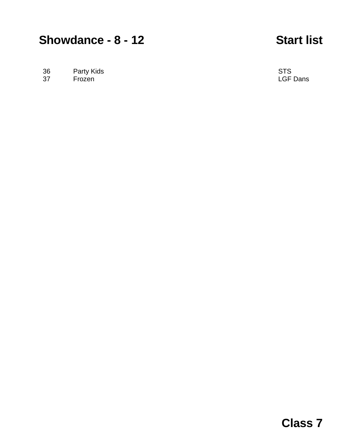## **Showdance - 8 - 12 Start list**

36 Party Kids **Party Kids** STS

37 Frozen LGF Dans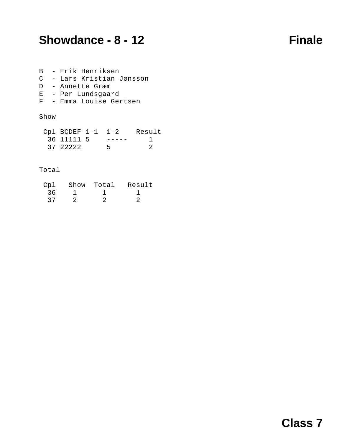## **Showdance - 8 - 12 Finale**

|  | B - Erik Henriksen |                           |
|--|--------------------|---------------------------|
|  |                    | C - Lars Kristian Jønsson |
|  | D - Annette Græm   |                           |
|  | E - Per Lundsgaard |                           |
|  |                    |                           |

F - Emma Louise Gertsen

### Show

| $CDEF$ 1-1 1-2 |  | Result |
|----------------|--|--------|
| 36 11111 5     |  |        |
| 37 22222       |  |        |

### Total

| Cpl | Show Total | Result |
|-----|------------|--------|
| 36  |            |        |
| 37  |            |        |

## **Class 7**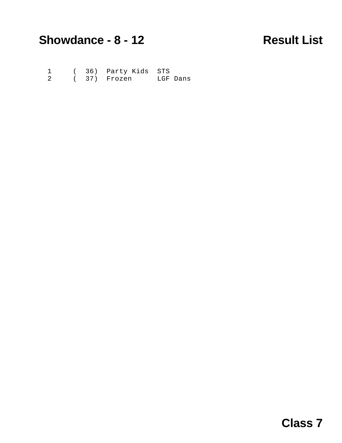# **Showdance - 8 - 12 Result List**

 1 ( 36) Party Kids STS 2 ( 37) Frozen LGF Dans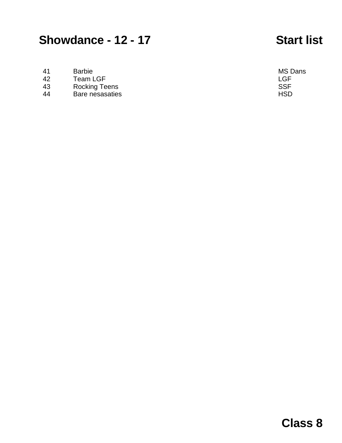## **Showdance - 12 - 17 Start list**

- 41 Barbie MS Dans
- 42 Team LGF<br>43 Rocking Teens **Example 2018** SSF
- 43 Rocking Teens SSF
- Bare nesasaties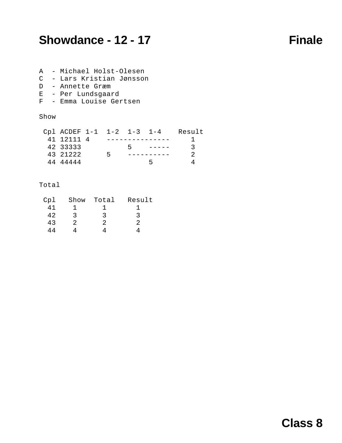## **Showdance - 12 - 17 Finale**

- A Michael Holst-Olesen
- C Lars Kristian Jønsson
- D Annette Græm
- E Per Lundsgaard
- F Emma Louise Gertsen

### Show

| Cpl ACDEF 1-1 1-2 1-3 1-4 |   |  | Result |
|---------------------------|---|--|--------|
| 41 12111 4                |   |  |        |
| 42 33333                  |   |  | - 3    |
| 43 21222                  | ᠷ |  |        |
| 44 44444                  |   |  |        |

## Total

| Cp1 | Show | Total | Result |
|-----|------|-------|--------|
| 41  |      |       |        |
| 42  | ર    | 2     | 3      |
| 43  | 2.   |       | 2      |
| 44  |      |       |        |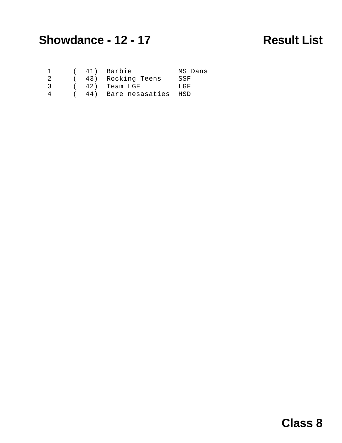## **Showdance - 12 - 17 Result List**

|    |  | ( 41) Barbie              | MS Dans |
|----|--|---------------------------|---------|
| 2. |  | ( 43) Rocking Teens       | SSF     |
| 3  |  | ( 42) Team LGF            | LGF.    |
| 4  |  | ( 44) Bare nesasaties HSD |         |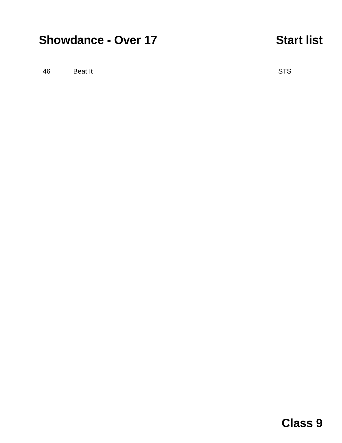# **Showdance - Over 17 Start list**

46 Beat It STS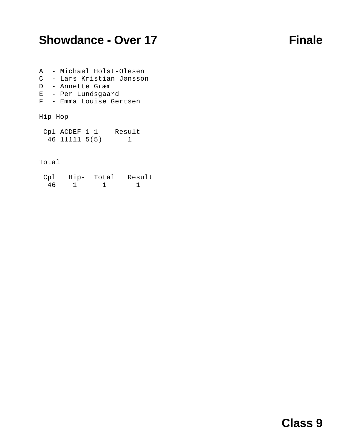## **Showdance - Over 17 Finale**

- A Michael Holst-Olesen C - Lars Kristian Jønsson D - Annette Græm E - Per Lundsgaard
- F Emma Louise Gertsen
- 

## Hip-Hop

| $Cp1$ ACDEF $1-1$ | Result |
|-------------------|--------|
| 46 11111 5(5)     |        |

### Total

| Cp1 | $Hip-$ | Total | Result |
|-----|--------|-------|--------|
| 46  |        |       |        |